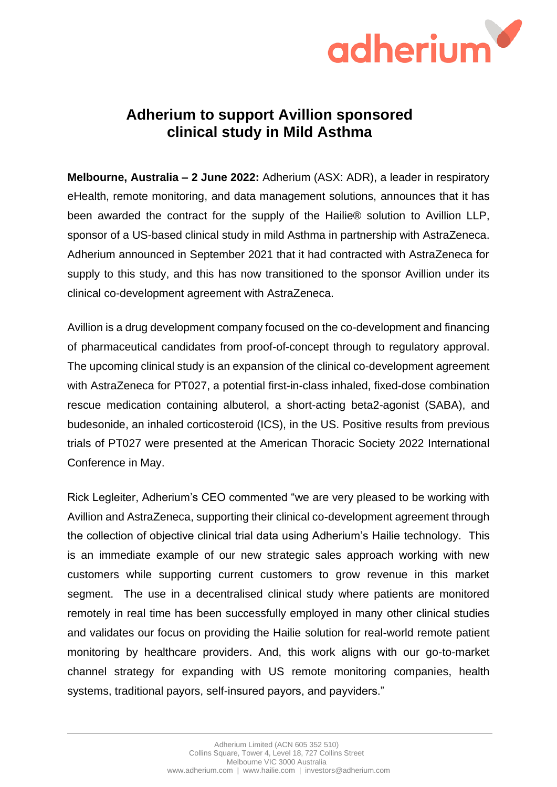

## **Adherium to support Avillion sponsored clinical study in Mild Asthma**

**Melbourne, Australia – 2 June 2022:** Adherium (ASX: ADR), a leader in respiratory eHealth, remote monitoring, and data management solutions, announces that it has been awarded the contract for the supply of the Hailie® solution to Avillion LLP, sponsor of a US-based clinical study in mild Asthma in partnership with AstraZeneca. Adherium announced in September 2021 that it had contracted with AstraZeneca for supply to this study, and this has now transitioned to the sponsor Avillion under its clinical co-development agreement with AstraZeneca.

Avillion is a drug development company focused on the co-development and financing of pharmaceutical candidates from proof-of-concept through to regulatory approval. The upcoming clinical study is an expansion of the clinical co-development agreement with AstraZeneca for PT027, a potential first-in-class inhaled, fixed-dose combination rescue medication containing albuterol, a short-acting beta2-agonist (SABA), and budesonide, an inhaled corticosteroid (ICS), in the US. Positive results from previous trials of PT027 were presented at the American Thoracic Society 2022 International Conference in May.

Rick Legleiter, Adherium's CEO commented "we are very pleased to be working with Avillion and AstraZeneca, supporting their clinical co-development agreement through the collection of objective clinical trial data using Adherium's Hailie technology. This is an immediate example of our new strategic sales approach working with new customers while supporting current customers to grow revenue in this market segment. The use in a decentralised clinical study where patients are monitored remotely in real time has been successfully employed in many other clinical studies and validates our focus on providing the Hailie solution for real-world remote patient monitoring by healthcare providers. And, this work aligns with our go-to-market channel strategy for expanding with US remote monitoring companies, health systems, traditional payors, self-insured payors, and payviders."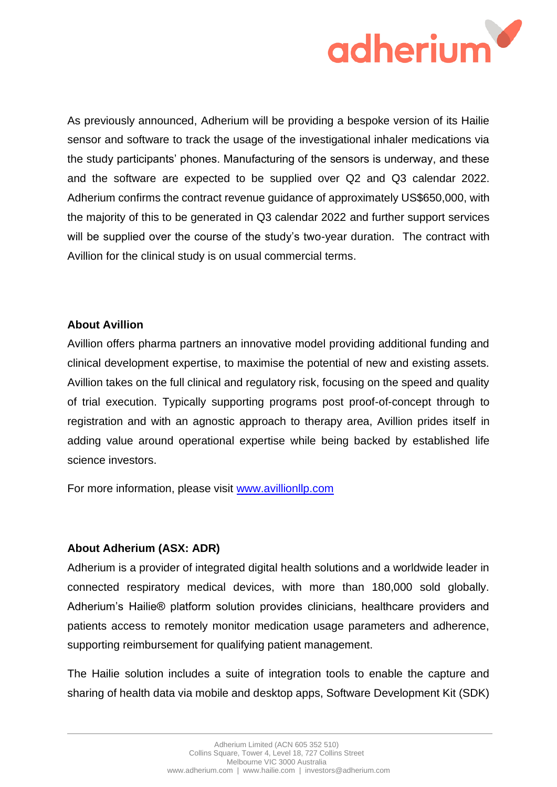

As previously announced, Adherium will be providing a bespoke version of its Hailie sensor and software to track the usage of the investigational inhaler medications via the study participants' phones. Manufacturing of the sensors is underway, and these and the software are expected to be supplied over Q2 and Q3 calendar 2022. Adherium confirms the contract revenue guidance of approximately US\$650,000, with the majority of this to be generated in Q3 calendar 2022 and further support services will be supplied over the course of the study's two-year duration. The contract with Avillion for the clinical study is on usual commercial terms.

## **About Avillion**

Avillion offers pharma partners an innovative model providing additional funding and clinical development expertise, to maximise the potential of new and existing assets. Avillion takes on the full clinical and regulatory risk, focusing on the speed and quality of trial execution. Typically supporting programs post proof-of-concept through to registration and with an agnostic approach to therapy area, Avillion prides itself in adding value around operational expertise while being backed by established life science investors.

For more information, please visit [www.avillionllp.com](http://www.avillionllp.com/)

## **About Adherium (ASX: ADR)**

Adherium is a provider of integrated digital health solutions and a worldwide leader in connected respiratory medical devices, with more than 180,000 sold globally. Adherium's Hailie® platform solution provides clinicians, healthcare providers and patients access to remotely monitor medication usage parameters and adherence, supporting reimbursement for qualifying patient management.

The Hailie solution includes a suite of integration tools to enable the capture and sharing of health data via mobile and desktop apps, Software Development Kit (SDK)